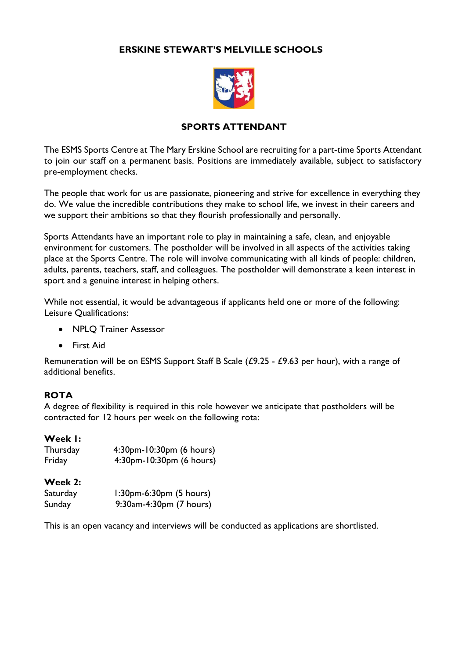## **ERSKINE STEWART'S MELVILLE SCHOOLS**



### **SPORTS ATTENDANT**

The ESMS Sports Centre at The Mary Erskine School are recruiting for a part-time Sports Attendant to join our staff on a permanent basis. Positions are immediately available, subject to satisfactory pre-employment checks.

The people that work for us are passionate, pioneering and strive for excellence in everything they do. We value the incredible contributions they make to school life, we invest in their careers and we support their ambitions so that they flourish professionally and personally.

Sports Attendants have an important role to play in maintaining a safe, clean, and enjoyable environment for customers. The postholder will be involved in all aspects of the activities taking place at the Sports Centre. The role will involve communicating with all kinds of people: children, adults, parents, teachers, staff, and colleagues. The postholder will demonstrate a keen interest in sport and a genuine interest in helping others.

While not essential, it would be advantageous if applicants held one or more of the following: Leisure Qualifications:

- NPLQ Trainer Assessor
- First Aid

Remuneration will be on ESMS Support Staff B Scale (£9.25 - £9.63 per hour), with a range of additional benefits.

### **ROTA**

A degree of flexibility is required in this role however we anticipate that postholders will be contracted for 12 hours per week on the following rota:

#### **Week 1:**

| Thursday | 4:30pm-10:30pm (6 hours) |
|----------|--------------------------|
| Friday   | 4:30pm-10:30pm (6 hours) |

#### **Week 2:**

| Saturday | $1:30$ pm-6:30pm $(5 \text{ hours})$ |
|----------|--------------------------------------|
| Sunday   | 9:30am-4:30pm (7 hours)              |

This is an open vacancy and interviews will be conducted as applications are shortlisted.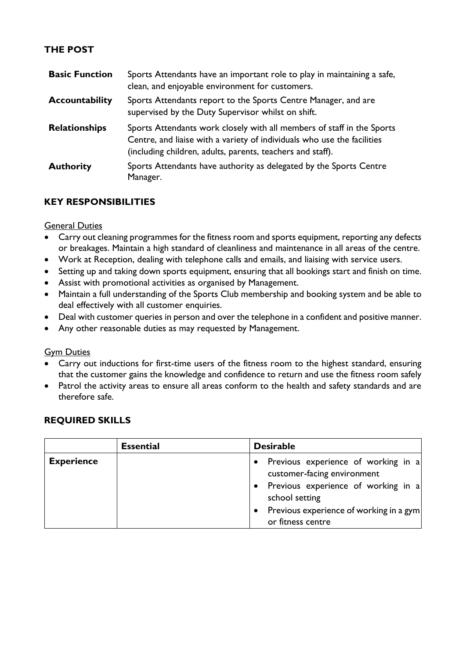# **THE POST**

| <b>Basic Function</b> | Sports Attendants have an important role to play in maintaining a safe,<br>clean, and enjoyable environment for customers.                                                                                      |
|-----------------------|-----------------------------------------------------------------------------------------------------------------------------------------------------------------------------------------------------------------|
| <b>Accountability</b> | Sports Attendants report to the Sports Centre Manager, and are<br>supervised by the Duty Supervisor whilst on shift.                                                                                            |
| <b>Relationships</b>  | Sports Attendants work closely with all members of staff in the Sports<br>Centre, and liaise with a variety of individuals who use the facilities<br>(including children, adults, parents, teachers and staff). |
| <b>Authority</b>      | Sports Attendants have authority as delegated by the Sports Centre<br>Manager.                                                                                                                                  |

## **KEY RESPONSIBILITIES**

General Duties

- Carry out cleaning programmes for the fitness room and sports equipment, reporting any defects or breakages. Maintain a high standard of cleanliness and maintenance in all areas of the centre.
- Work at Reception, dealing with telephone calls and emails, and liaising with service users.
- Setting up and taking down sports equipment, ensuring that all bookings start and finish on time.
- Assist with promotional activities as organised by Management.
- Maintain a full understanding of the Sports Club membership and booking system and be able to deal effectively with all customer enquiries.
- Deal with customer queries in person and over the telephone in a confident and positive manner.
- Any other reasonable duties as may requested by Management.

### **Gym Duties**

- Carry out inductions for first-time users of the fitness room to the highest standard, ensuring that the customer gains the knowledge and confidence to return and use the fitness room safely
- Patrol the activity areas to ensure all areas conform to the health and safety standards and are therefore safe.

### **REQUIRED SKILLS**

|                   | <b>Essential</b> | <b>Desirable</b>                                                     |
|-------------------|------------------|----------------------------------------------------------------------|
| <b>Experience</b> |                  | • Previous experience of working in a<br>customer-facing environment |
|                   |                  | • Previous experience of working in a<br>school setting              |
|                   |                  | • Previous experience of working in a gym<br>or fitness centre       |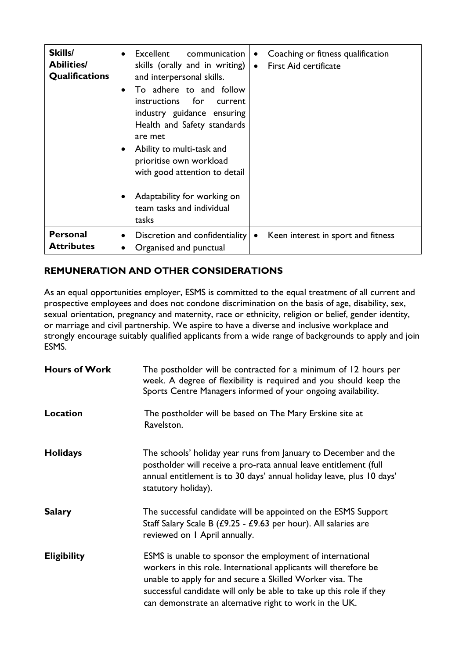| Skills/<br><b>Abilities/</b><br>Qualifications | Excellent<br>communication<br>$\bullet$<br>$\bullet$<br>skills (orally and in writing) $ $<br>$\bullet$<br>and interpersonal skills.<br>To adhere to and follow<br>$\bullet$<br>instructions for<br>current<br>industry guidance ensuring<br>Health and Safety standards<br>are met<br>Ability to multi-task and<br>$\bullet$<br>prioritise own workload<br>with good attention to detail<br>Adaptability for working on<br>$\bullet$ | Coaching or fitness qualification<br><b>First Aid certificate</b> |
|------------------------------------------------|---------------------------------------------------------------------------------------------------------------------------------------------------------------------------------------------------------------------------------------------------------------------------------------------------------------------------------------------------------------------------------------------------------------------------------------|-------------------------------------------------------------------|
|                                                | team tasks and individual<br>tasks                                                                                                                                                                                                                                                                                                                                                                                                    |                                                                   |
| <b>Personal</b><br><b>Attributes</b>           | Discretion and confidentiality<br>$\bullet$<br>$\bullet$<br>Organised and punctual<br>٠                                                                                                                                                                                                                                                                                                                                               | Keen interest in sport and fitness                                |

# **REMUNERATION AND OTHER CONSIDERATIONS**

As an equal opportunities employer, ESMS is committed to the equal treatment of all current and prospective employees and does not condone discrimination on the basis of age, disability, sex, sexual orientation, pregnancy and maternity, race or ethnicity, religion or belief, gender identity, or marriage and civil partnership. We aspire to have a diverse and inclusive workplace and strongly encourage suitably qualified applicants from a wide range of backgrounds to apply and join ESMS.

| <b>Hours of Work</b> | The postholder will be contracted for a minimum of 12 hours per<br>week. A degree of flexibility is required and you should keep the<br>Sports Centre Managers informed of your ongoing availability.                                                                                                                        |
|----------------------|------------------------------------------------------------------------------------------------------------------------------------------------------------------------------------------------------------------------------------------------------------------------------------------------------------------------------|
| <b>Location</b>      | The postholder will be based on The Mary Erskine site at<br>Ravelston.                                                                                                                                                                                                                                                       |
| <b>Holidays</b>      | The schools' holiday year runs from January to December and the<br>postholder will receive a pro-rata annual leave entitlement (full<br>annual entitlement is to 30 days' annual holiday leave, plus 10 days'<br>statutory holiday).                                                                                         |
| <b>Salary</b>        | The successful candidate will be appointed on the ESMS Support<br>Staff Salary Scale B (£9.25 - £9.63 per hour). All salaries are<br>reviewed on I April annually.                                                                                                                                                           |
| <b>Eligibility</b>   | ESMS is unable to sponsor the employment of international<br>workers in this role. International applicants will therefore be<br>unable to apply for and secure a Skilled Worker visa. The<br>successful candidate will only be able to take up this role if they<br>can demonstrate an alternative right to work in the UK. |